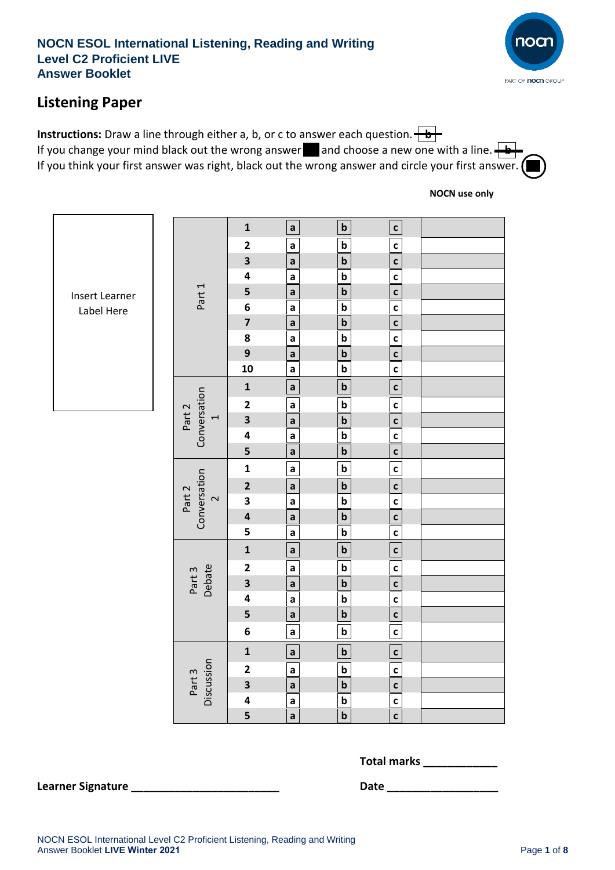

#### **Listening Paper**

**Instructions:** Draw a line through either a, b, or c to answer each question.  $\overline{\uparrow b}$ If you change your mind black out the wrong answer and choose a new one with a line.  $\overline{\mathbf{b}}$ If you think your first answer was right, black out the wrong answer and circle your first answer.  $\left(\blacksquare\right)$ 

**NOCN use only**

|  |                              |                          | $\mathbf 1$             | $\mathsf{a}$ | $\boldsymbol{\mathsf{b}}$ | $\mathbf{c}$                       |                         |
|--|------------------------------|--------------------------|-------------------------|--------------|---------------------------|------------------------------------|-------------------------|
|  | Insert Learner<br>Label Here |                          | $\overline{\mathbf{c}}$ | $\mathsf a$  | $\boldsymbol{\mathsf{b}}$ | $\mathbf c$                        |                         |
|  |                              |                          | 3                       | $\mathsf a$  | $\bold{b}$                | $\overline{\mathbf{c}}$            |                         |
|  |                              |                          | 4                       | a            | $\overline{b}$            | $\overline{\mathbf{c}}$            |                         |
|  |                              | Part 1                   | 5                       | $\mathsf{a}$ | $\boldsymbol{\mathsf{b}}$ | $\overline{\mathbf{c}}$            |                         |
|  |                              |                          | 6                       | a            | $\overline{b}$            | $\overline{\mathbf{c}}$            |                         |
|  |                              |                          | $\overline{\mathbf{z}}$ | $\mathsf{a}$ | $\boldsymbol{\mathsf{b}}$ | $\overline{\mathbf{c}}$            |                         |
|  |                              |                          | 8                       | $\mathsf a$  | $\overline{b}$            | $\overline{\mathbf{c}}$            |                         |
|  |                              |                          | 9                       | $\mathsf{a}$ | $\boldsymbol{\mathsf{b}}$ | $\overline{\overline{\mathbf{c}}}$ |                         |
|  |                              |                          | 10                      | a            | $\overline{b}$            | $\overline{\mathbf{c}}$            |                         |
|  |                              |                          | $\mathbf{1}$            | $\mathsf{a}$ | $\mathbf{b}$              | $\frac{c}{\sqrt{c}}$               |                         |
|  |                              | Conversation             | $\overline{\mathbf{2}}$ | a            | $\mathbf b$               | $\overline{\mathbf{c}}$            |                         |
|  |                              | Part 2<br>$\overline{ }$ | 3                       | $\mathsf{a}$ | $\mathbf b$               | $\overline{\mathbf{c}}$            |                         |
|  |                              |                          | 4                       | a            | $\overline{\mathbf{b}}$   | $\overline{\mathbf{c}}$            |                         |
|  |                              |                          | 5                       | $\mathsf{a}$ | $\bold{b}$                | $\overline{\mathbf{c}}$            |                         |
|  |                              |                          | $\mathbf{1}$            | a            | $\mathbf b$               | $\mathbf c$                        |                         |
|  |                              | Conversation             | $\overline{\mathbf{c}}$ | a            | $\mathbf b$               | $\mathbf{c}$                       |                         |
|  |                              | Part 2<br>$\sim$         | 3                       | a            | $\boldsymbol{\mathsf{b}}$ | $\overline{\mathbf{c}}$            |                         |
|  |                              |                          | $\overline{\mathbf{r}}$ | $\mathsf a$  | $\mathbf{b}$              | $\overline{c}$                     |                         |
|  |                              |                          | 5                       | $\mathsf{a}$ | $\overline{\mathbf{b}}$   | $\overline{\mathbf{c}}$            |                         |
|  |                              |                          | $\mathbf{1}$            | $\mathsf{a}$ | $\mathbf{b}$              | $\overline{c}$                     |                         |
|  |                              | Part 3<br>Debate         | $\mathbf{2}$            | a            | $\boldsymbol{\mathsf{b}}$ | $rac{c}{c}$                        |                         |
|  |                              |                          | 3                       | $\mathsf a$  | $\boldsymbol{\mathsf{b}}$ |                                    |                         |
|  |                              |                          | 4                       | a            | $\overline{\mathbf{b}}$   | $\overline{\mathbf{c}}$            |                         |
|  |                              |                          | 5                       | $\mathsf{a}$ | $\mathbf b$               | $\overline{\mathbf{c}}$            |                         |
|  |                              |                          | 6                       | $\mathsf{a}$ | $\overline{\mathbf{b}}$   | $\overline{\mathbf{c}}$            |                         |
|  |                              |                          | $\mathbf{1}$            | $\mathbf{a}$ | $\mathbf{b}$              | $\mathbf{c}$                       |                         |
|  |                              | ussion<br>rt3            | $\overline{\mathbf{c}}$ | a            | $\frac{b}{b}$             | $rac{c}{c}$                        |                         |
|  |                              |                          | 3                       | a            |                           |                                    |                         |
|  |                              | Par<br>Discu             | 4                       | a            | $\mathbf b$               | $\mathbf c$                        |                         |
|  |                              |                          | 5                       | $\mathsf{a}$ | $\mathbf b$               | $\overline{\mathbf{c}}$            |                         |
|  |                              |                          |                         |              |                           |                                    | Total marks ___________ |
|  | Learner Signature ________   |                          |                         |              |                           | Date_                              |                         |

NOCN ESOL International Level C2 Proficient Listening, Reading and Writing Answer Booklet **LIVE Winter 2021** Page **1** of **8**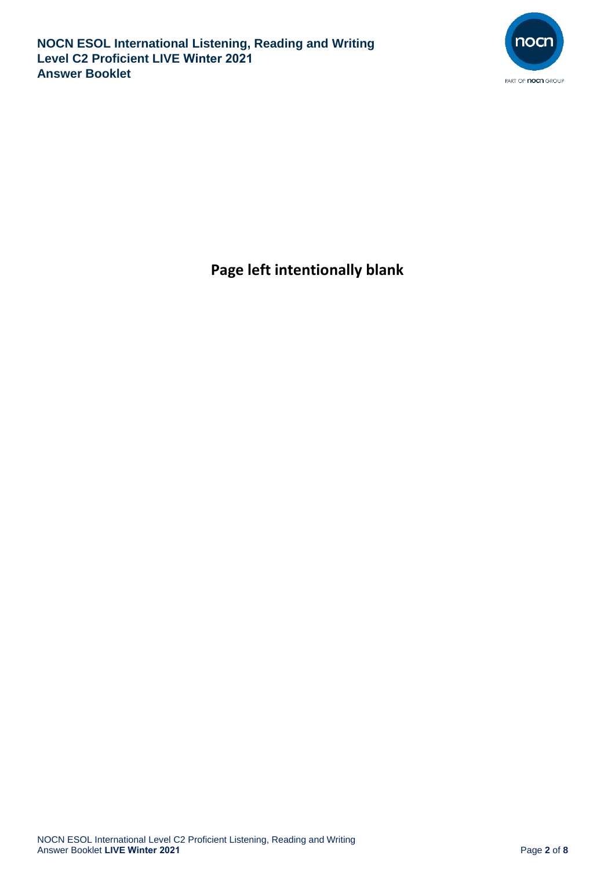

**Page left intentionally blank**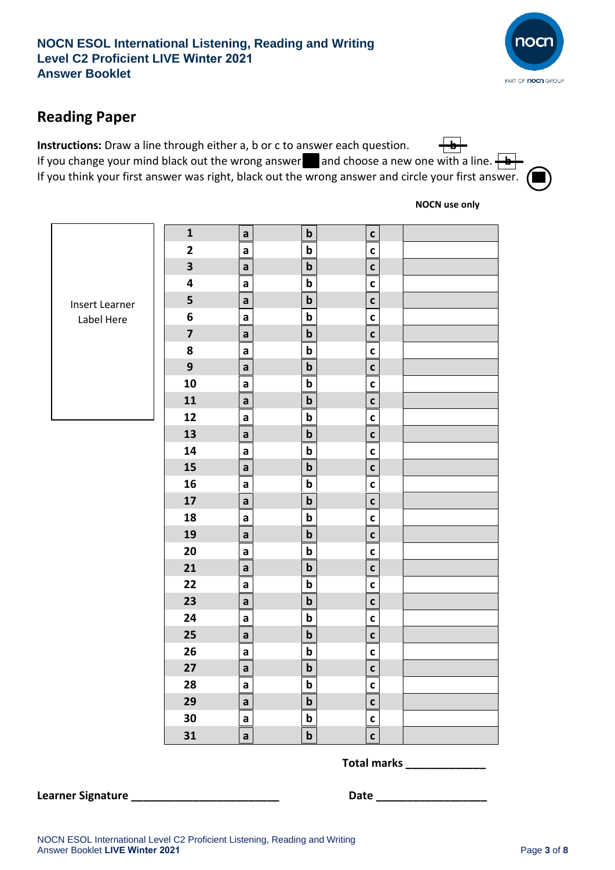

### **Reading Paper**

**Instructions:** Draw a line through either a, b or c to answer each question. –**b-**If you change your mind black out the wrong answer and choose a new one with a line.  $\overline{+}$ If you think your first answer was right, black out the wrong answer and circle your first answer.

**NOCN use only**

|                       | $\mathbf{1}$            | $\mathsf{a}$ | $\mathbf b$               | $\mathbf{c}$ |  |
|-----------------------|-------------------------|--------------|---------------------------|--------------|--|
|                       | $\overline{\mathbf{2}}$ | a            | $\boldsymbol{\mathsf{b}}$ | $\mathbf c$  |  |
|                       | $\overline{\mathbf{3}}$ | $\mathsf{a}$ | $\mathbf b$               | $\mathbf c$  |  |
|                       | 4                       | a            | $\mathbf b$               | $\mathbf c$  |  |
| <b>Insert Learner</b> | 5                       | $\mathsf{a}$ | $\mathbf b$               | $\mathbf{c}$ |  |
| Label Here            | 6                       | $\mathsf{a}$ | $\mathbf b$               | $\mathbf c$  |  |
|                       | $\overline{\mathbf{z}}$ | $\mathsf{a}$ | $\mathbf b$               | $\mathbf{c}$ |  |
|                       | 8                       | $\mathsf{a}$ | $\mathbf b$               | $\mathbf c$  |  |
|                       | $\mathbf{9}$            | $\mathsf{a}$ | $\mathbf b$               | $\mathbf c$  |  |
|                       | 10                      | a            | $\boldsymbol{\mathsf{b}}$ | $\mathbf c$  |  |
|                       | 11                      | $\mathsf{a}$ | $\mathbf b$               | $\mathbf c$  |  |
|                       | 12                      | a            | $\boldsymbol{\mathsf{b}}$ | $\mathbf c$  |  |
|                       | 13                      | $\mathsf{a}$ | $\mathbf b$               | $\mathbf c$  |  |
|                       | 14                      | a            | $\boldsymbol{\mathsf{b}}$ | $\mathbf c$  |  |
|                       | 15                      | $\mathsf{a}$ | $\boldsymbol{\mathsf{b}}$ | $\mathbf c$  |  |
|                       | 16                      | a            | $\boldsymbol{\mathsf{b}}$ | $\mathbf c$  |  |
|                       | 17                      | $\mathsf{a}$ | $\mathbf b$               | $\mathbf{c}$ |  |
|                       | 18                      | a            | $\boldsymbol{\mathsf{b}}$ | $\mathbf c$  |  |
|                       | 19                      | $\mathsf{a}$ | $\mathbf b$               | $\mathbf c$  |  |
|                       | 20                      | a            | $\boldsymbol{\mathsf{b}}$ | $\mathbf c$  |  |
|                       | 21                      | $\mathsf{a}$ | $\mathbf b$               | $\mathbf c$  |  |
|                       | 22                      | a            | $\mathbf b$               | $\mathbf c$  |  |
|                       | 23                      | $\mathsf{a}$ | $\mathbf b$               | $\mathbf{C}$ |  |
|                       | 24                      | $\mathsf{a}$ | $\mathbf b$               | $\mathbf c$  |  |
|                       | 25                      | $\mathsf a$  | $\mathbf b$               | $\mathbf c$  |  |
|                       | 26                      | a            | $\boldsymbol{\mathsf{b}}$ | $\mathbf c$  |  |
|                       | 27                      | $\mathsf a$  | $\mathbf b$               | $\mathbf{c}$ |  |
|                       | 28                      | a            | $\boldsymbol{\mathsf{b}}$ | $\mathbf{C}$ |  |
|                       | 29                      | $\mathsf{a}$ | $\mathbf b$               | $\mathbf c$  |  |
|                       | 30                      | a            | $\boldsymbol{\mathsf{b}}$ | $\mathbf{c}$ |  |
|                       | 31                      | $\mathsf{a}$ | $\mathbf b$               | $\mathbf c$  |  |

**Total marks \_\_\_\_\_\_\_\_\_\_\_\_\_**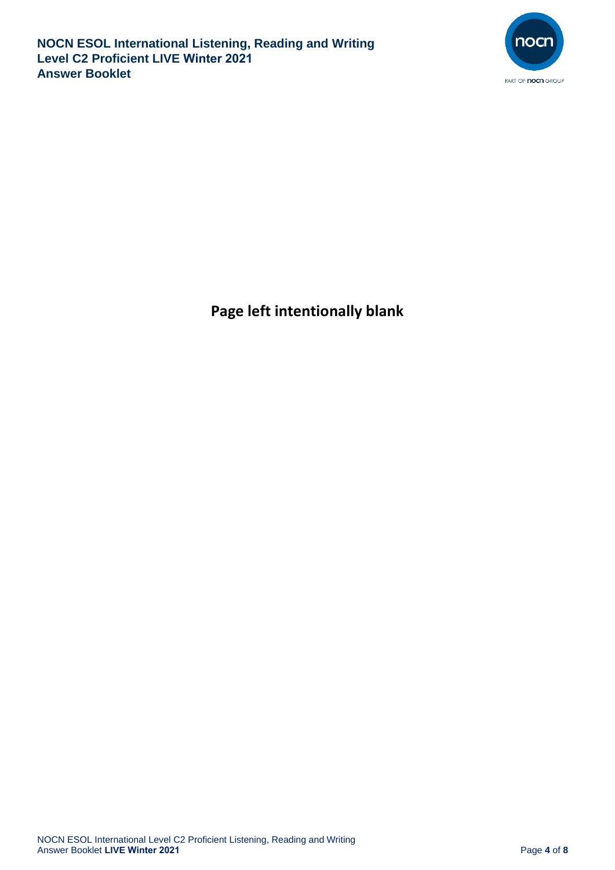

**Page left intentionally blank**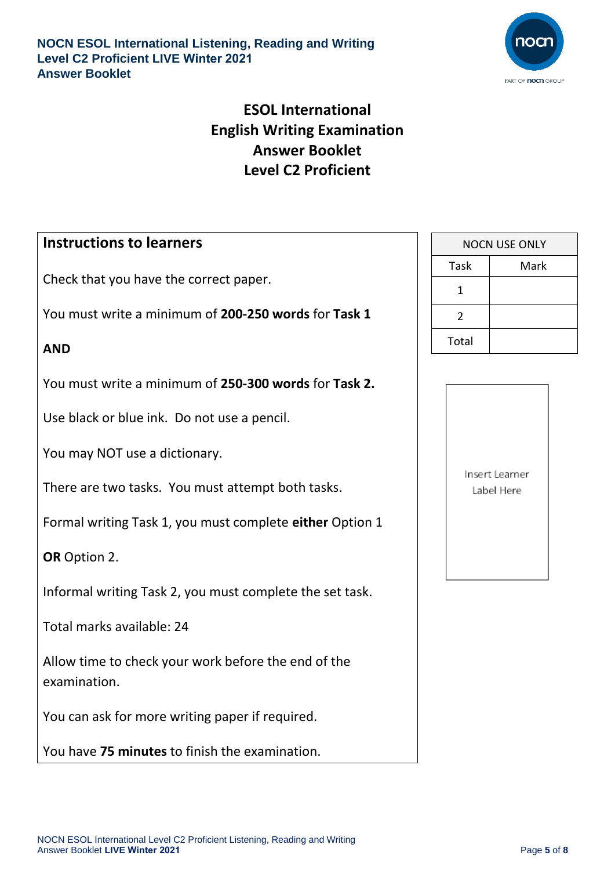

# **ESOL International English Writing Examination Answer Booklet Level C2 Proficient**

#### **Instructions to learners**

Check that you have the correct paper.

You must write a minimum of **200-250 words** for **Task 1**

#### **AND**

You must write a minimum of **250-300 words** for **Task 2.**

Use black or blue ink. Do not use a pencil.

You may NOT use a dictionary.

There are two tasks. You must attempt both tasks.

Formal writing Task 1, you must complete **either** Option 1

**OR** Option 2.

Informal writing Task 2, you must complete the set task.

Total marks available: 24

Allow time to check your work before the end of the examination.

You can ask for more writing paper if required.

You have **75 minutes** to finish the examination.

| <b>NOCN USE ONLY</b> |      |  |
|----------------------|------|--|
| Task                 | Mark |  |
| 1                    |      |  |
| 2                    |      |  |
| Total                |      |  |

| Insert Learner<br>Label Here |
|------------------------------|
|------------------------------|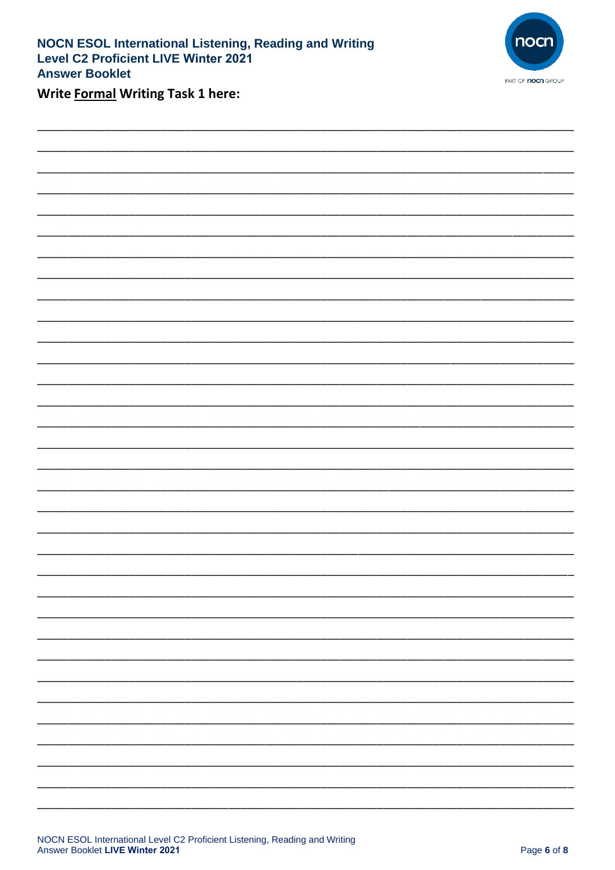

**Write Formal Writing Task 1 here:**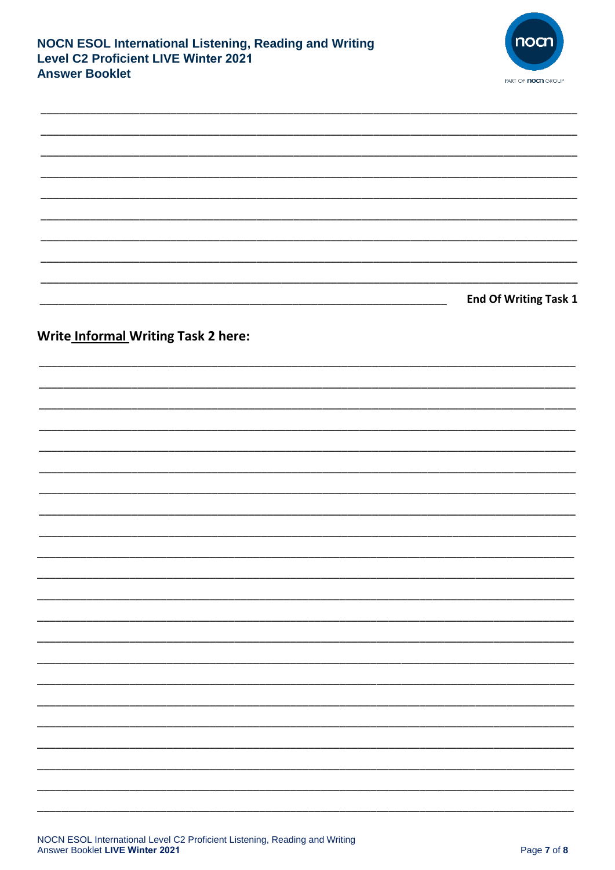

**End Of Writing Task 1** 

## **Write Informal Writing Task 2 here:**

NOCN ESOL International Level C2 Proficient Listening, Reading and Writing Answer Booklet LIVE Winter 2021